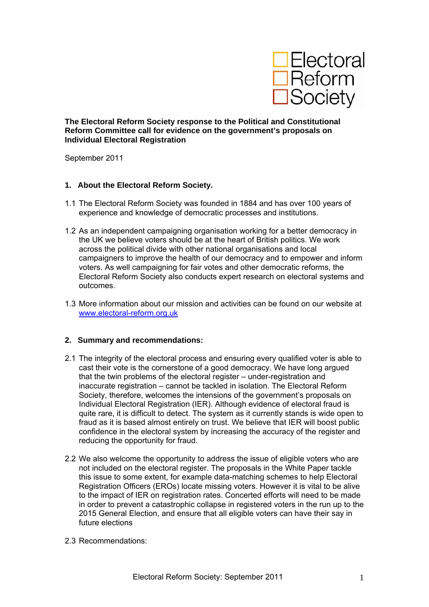

**The Electoral Reform Society response to the Political and Constitutional Reform Committee call for evidence on the government's proposals on Individual Electoral Registration** 

September 2011

#### **1. About the Electoral Reform Society.**

- 1.1 The Electoral Reform Society was founded in 1884 and has over 100 years of experience and knowledge of democratic processes and institutions.
- 1.2 As an independent campaigning organisation working for a better democracy in the UK we believe voters should be at the heart of British politics. We work across the political divide with other national organisations and local campaigners to improve the health of our democracy and to empower and inform voters. As well campaigning for fair votes and other democratic reforms, the Electoral Reform Society also conducts expert research on electoral systems and outcomes.
- 1.3 More information about our mission and activities can be found on our website at [www.electoral-reform.org.uk](http://www.electoral-reform.org.uk/)

#### **2. Summary and recommendations:**

- 2.1 The integrity of the electoral process and ensuring every qualified voter is able to cast their vote is the cornerstone of a good democracy. We have long argued that the twin problems of the electoral register – under-registration and inaccurate registration – cannot be tackled in isolation. The Electoral Reform Society, therefore, welcomes the intensions of the government's proposals on Individual Electoral Registration (IER). Although evidence of electoral fraud is quite rare, it is difficult to detect. The system as it currently stands is wide open to fraud as it is based almost entirely on trust. We believe that IER will boost public confidence in the electoral system by increasing the accuracy of the register and reducing the opportunity for fraud.
- 2.2 We also welcome the opportunity to address the issue of eligible voters who are not included on the electoral register. The proposals in the White Paper tackle this issue to some extent, for example data-matching schemes to help Electoral Registration Officers (EROs) locate missing voters. However it is vital to be alive to the impact of IER on registration rates. Concerted efforts will need to be made in order to prevent a catastrophic collapse in registered voters in the run up to the 2015 General Election, and ensure that all eligible voters can have their say in future elections
- 2.3 Recommendations: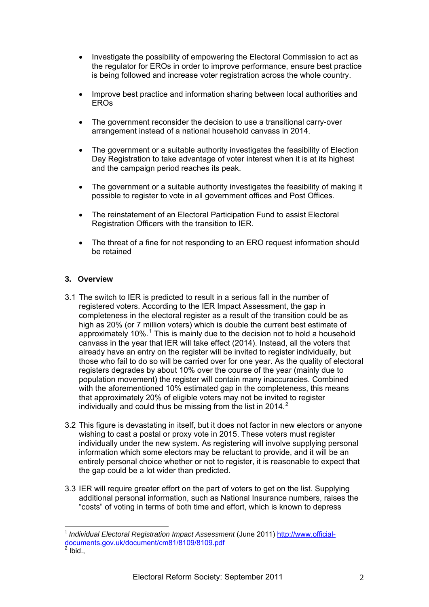- Investigate the possibility of empowering the Electoral Commission to act as the regulator for EROs in order to improve performance, ensure best practice is being followed and increase voter registration across the whole country.
- Improve best practice and information sharing between local authorities and EROs
- The government reconsider the decision to use a transitional carry-over arrangement instead of a national household canvass in 2014.
- The government or a suitable authority investigates the feasibility of Election Day Registration to take advantage of voter interest when it is at its highest and the campaign period reaches its peak.
- The government or a suitable authority investigates the feasibility of making it possible to register to vote in all government offices and Post Offices.
- The reinstatement of an Electoral Participation Fund to assist Electoral Registration Officers with the transition to IER.
- The threat of a fine for not responding to an ERO request information should be retained

# **3. Overview**

- 3.1 The switch to IER is predicted to result in a serious fall in the number of registered voters. According to the IER Impact Assessment, the gap in completeness in the electoral register as a result of the transition could be as high as 20% (or 7 million voters) which is double the current best estimate of approximately [1](#page-1-0)0%.<sup>1</sup> This is mainly due to the decision not to hold a household canvass in the year that IER will take effect (2014). Instead, all the voters that already have an entry on the register will be invited to register individually, but those who fail to do so will be carried over for one year. As the quality of electoral registers degrades by about 10% over the course of the year (mainly due to population movement) the register will contain many inaccuracies. Combined with the aforementioned 10% estimated gap in the completeness, this means that approximately 20% of eligible voters may not be invited to register individually and could thus be missing from the list in [2](#page-1-1)014. $^2$
- 3.2 This figure is devastating in itself, but it does not factor in new electors or anyone wishing to cast a postal or proxy vote in 2015. These voters must register individually under the new system. As registering will involve supplying personal information which some electors may be reluctant to provide, and it will be an entirely personal choice whether or not to register, it is reasonable to expect that the gap could be a lot wider than predicted.
- 3.3 IER will require greater effort on the part of voters to get on the list. Supplying additional personal information, such as National Insurance numbers, raises the "costs" of voting in terms of both time and effort, which is known to depress

<span id="page-1-0"></span><sup>1</sup> <sup>1</sup> *Individual Electoral Registration Impact Assessment* (June 2011) [http://www.official](http://www.official-documents.gov.uk/document/cm81/8109/8109.pdf)<u>[documents.gov.uk/document/cm81/8109/8109.pdf](http://www.official-documents.gov.uk/document/cm81/8109/8109.pdf)</u><br><sup>2</sup> Ibid.,

<span id="page-1-1"></span>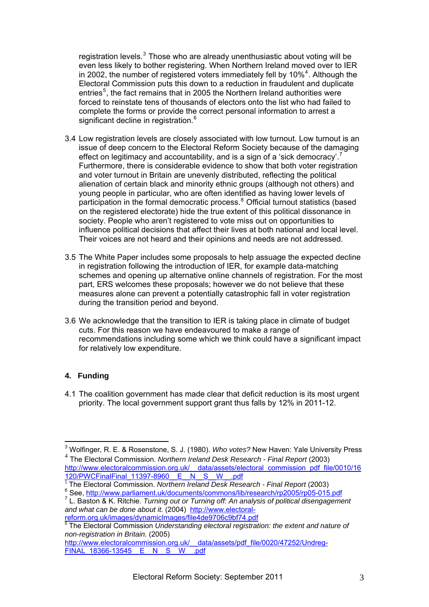registration levels. $3$  Those who are already unenthusiastic about voting will be even less likely to bother registering. When Northern Ireland moved over to IER in 2002, the number of registered voters immediately fell by  $10\%^4$ . Although the Electoral Commission puts this down to a reduction in fraudulent and duplicate entries<sup>5</sup>, the fact remains that in 2005 the Northern Ireland authorities were forced to reinstate tens of thousands of electors onto the list who had failed to complete the forms or provide the correct personal information to arrest a significant decline in registration.<sup>6</sup>

- 3.4 Low registration levels are closely associated with low turnout. Low turnout is an issue of deep concern to the Electoral Reform Society because of the damaging effect on legitimacy and accountability, and is a sign of a 'sick democracy'.<sup>[7](#page-2-0)</sup> Furthermore, there is considerable evidence to show that both voter registration and voter turnout in Britain are unevenly distributed, reflecting the political alienation of certain black and minority ethnic groups (although not others) and young people in particular, who are often identified as having lower levels of participation in the formal democratic process.<sup>[8](#page-2-1)</sup> Official turnout statistics (based on the registered electorate) hide the true extent of this political dissonance in society. People who aren't registered to vote miss out on opportunities to influence political decisions that affect their lives at both national and local level. Their voices are not heard and their opinions and needs are not addressed.
- 3.5 The White Paper includes some proposals to help assuage the expected decline in registration following the introduction of IER, for example data-matching schemes and opening up alternative online channels of registration. For the most part, ERS welcomes these proposals; however we do not believe that these measures alone can prevent a potentially catastrophic fall in voter registration during the transition period and beyond.
- 3.6 We acknowledge that the transition to IER is taking place in climate of budget cuts. For this reason we have endeavoured to make a range of recommendations including some which we think could have a significant impact for relatively low expenditure.

# **4. Funding**

4.1 The coalition government has made clear that deficit reduction is its most urgent priority. The local government support grant thus falls by 12% in 2011-12.

 3 Wolfinger, R. E. & Rosenstone, S. J. (1980). *Who votes?* New Haven: Yale University Press <sup>4</sup> The Electoral Commission. *Northern Ireland Desk Research - Final Report* (2003) [http://www.electoralcommission.org.uk/\\_\\_data/assets/electoral\\_commission\\_pdf\\_file/0010/16](http://www.electoralcommission.org.uk/__data/assets/electoral_commission_pdf_file/0010/16120/PWCFinalFinal_11397-8960__E__N__S__W__.pdf)

<sup>120/</sup>PWCFinalFinal\_11397-8960\_E\_N\_S\_W\_\_.pdf <sup>5</sup> The Electoral Commission. *Northern Ireland Desk Research - Final Report* (2003) <sup>6</sup> <sup>6</sup> See, http://www.parliament.uk/documents/commons/lib/research/rp2005/rp05-015.pdf

<span id="page-2-0"></span>L. Baston & K. Ritchie. *Turning out or Turning off: An analysis of political disengagement*  and what can be done about it. (2004) http://www.electoral-<br>reform.org.uk/images/dynamicImages/file4de9706c9bf74.pdf

<span id="page-2-1"></span><sup>&</sup>lt;sup>[8](http://www.electoral-reform.org.uk/images/dynamicImages/file4de9706c9bf74.pdf)</sup> The Electoral Commission Understanding electoral registration: the extent and nature of *non-registration in Britain.* (2005)

http://www.electoralcommission.org.uk/ data/assets/pdf\_file/0020/47252/Undreg-FINAL 18366-13545 E N S W .pdf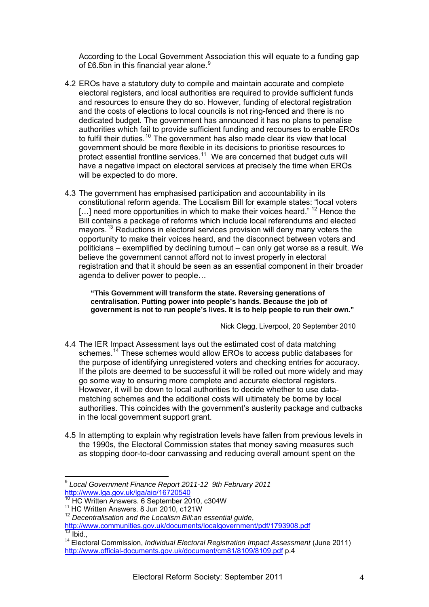According to the Local Government Association this will equate to a funding gap of £6.5bn in this financial year alone. $9$ 

- 4.2 EROs have a statutory duty to compile and maintain accurate and complete electoral registers, and local authorities are required to provide sufficient funds and resources to ensure they do so. However, funding of electoral registration and the costs of elections to local councils is not ring-fenced and there is no dedicated budget. The government has announced it has no plans to penalise authorities which fail to provide sufficient funding and recourses to enable EROs to fulfil their duties.<sup>[10](#page-3-0)</sup> The government has also made clear its view that local government should be more flexible in its decisions to prioritise resources to protect essential frontline services.<sup>[11](#page-3-1)</sup> We are concerned that budget cuts will have a negative impact on electoral services at precisely the time when EROs will be expected to do more.
- 4.3 The government has emphasised participation and accountability in its constitutional reform agenda. The Localism Bill for example states: "local voters [...] need more opportunities in which to make their voices heard." <sup>[12](#page-3-2)</sup> Hence the Bill contains a package of reforms which include local referendums and elected mayors.[13](#page-3-3) Reductions in electoral services provision will deny many voters the opportunity to make their voices heard, and the disconnect between voters and politicians – exemplified by declining turnout – can only get worse as a result. We believe the government cannot afford not to invest properly in electoral registration and that it should be seen as an essential component in their broader agenda to deliver power to people…

**"This Government will transform the state. Reversing generations of centralisation. Putting power into people's hands. Because the job of government is not to run people's lives. It is to help people to run their own."**

Nick Clegg, Liverpool, 20 September 2010

- 4.4 The IER Impact Assessment lays out the estimated cost of data matching schemes.<sup>[14](#page-3-4)</sup> These schemes would allow EROs to access public databases for the purpose of identifying unregistered voters and checking entries for accuracy. If the pilots are deemed to be successful it will be rolled out more widely and may go some way to ensuring more complete and accurate electoral registers. However, it will be down to local authorities to decide whether to use datamatching schemes and the additional costs will ultimately be borne by local authorities. This coincides with the government's austerity package and cutbacks in the local government support grant.
- 4.5 In attempting to explain why registration levels have fallen from previous levels in the 1990s, the Electoral Commission states that money saving measures such as stopping door-to-door canvassing and reducing overall amount spent on the

<u>.</u>

<sup>9</sup> *Local Government Finance Report 2011-12 9th February 2011*

<span id="page-3-0"></span> $\frac{10}{10}$  HC Written Answers. 6 September 2010, c304W 11 HC Written Answers. 8 Jun 2010, c121W

<span id="page-3-2"></span><span id="page-3-1"></span><sup>&</sup>lt;sup>12</sup> Decentralisation and the Localism Bill:an essential guide,<br>http://www.communities.gov.uk/documents/localgovernment/pdf/1793908.pdf

<span id="page-3-4"></span><span id="page-3-3"></span><sup>&</sup>lt;sup>13</sup> Ibid.,<br><sup>14</sup> Electoral Commission. *Individual Electoral Registration Impact Assessment* (June 2011) <http://www.official-documents.gov.uk/document/cm81/8109/8109.pdf>p.4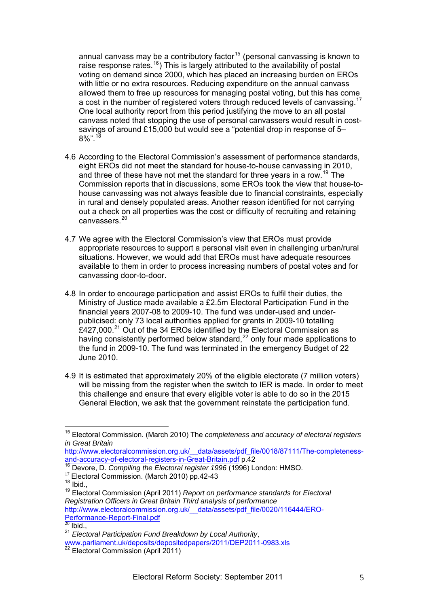annual canvass may be a contributory factor<sup>15</sup> (personal canvassing is known to raise response rates.<sup>16</sup>) This is largely attributed to the availability of postal voting on demand since 2000, which has placed an increasing burden on EROs with little or no extra resources. Reducing expenditure on the annual canvass allowed them to free up resources for managing postal voting, but this has come a cost in the number of registered voters through reduced levels of canvassing.<sup>17</sup> One local authority report from this period justifying the move to an all postal canvass noted that stopping the use of personal canvassers would result in costsavings of around £15,000 but would see a "potential drop in response of 5–  $8\%$ ".  $^{18}$ 

- 4.6 According to the Electoral Commission's assessment of performance standards, , eight EROs did not meet the standard for house-to-house canvassing in 2010 house canvassing was not always feasible due to financial constraints, especially out a check on all properties was the cost or difficulty of recruiting and retaining canvassers. 20 and three of these have not met the standard for three years in a row.<sup>[19](#page-4-0)</sup> The Commission reports that in discussions, some EROs took the view that house-toin rural and densely populated areas. Another reason identified for not carrying
- appropriate resources to support a personal visit even in challenging urban/rural available to them in order to process increasing numbers of postal votes and for canvassing door-to-door. 4.7 We agree with the Electoral Commission's view that EROs must provide situations. However, we would add that EROs must have adequate resources
- Ministry of Justice made available a £2.5m Electoral Participation Fund in the the fund in 2009-10. The fund was terminated in the emergency Budget of 22 4.8 In order to encourage participation and assist EROs to fulfil their duties, the financial years 2007-08 to 2009-10. The fund was under-used and underpublicised: only 73 local authorities applied for grants in 2009-10 totalling £427,000.<sup>[21](#page-4-1)</sup> Out of the 34 EROs identified by the Electoral Commission as having consistently performed below standard, $2^2$  only four made applications to June 2010.
- 4.9 It is estimated that approximately 20% of the eligible electorate (7 million voters) will be missing from the register when the switch to IER is made. In order to meet General Election, we ask that the government reinstate the participation fund. this challenge and ensure that every eligible voter is able to do so in the 2015

<u>.</u>

<sup>15</sup> Electoral Commission. (March 2010) The *completeness and accuracy of electoral registers in Great Britain*

http://www.electoralcommission.org.uk/ data/assets/pdf file/0018/87111/The-completeness[and-accuracy-of-electoral-registers-in-Great-Britain.pdf](http://www.electoralcommission.org.uk/__data/assets/pdf_file/0018/87111/The-completeness-and-accuracy-of-electoral-registers-in-Great-Britain.pdf) p.42<br><sup>[16](http://www.electoralcommission.org.uk/__data/assets/pdf_file/0018/87111/The-completeness-and-accuracy-of-electoral-registers-in-Great-Britain.pdf)</sup> Devore, D. *Compiling the Electoral register 1996* (1996) London: HMSO.<br><sup>17</sup> Electoral Commission. (March 2010) pp.42-43<br><sup>18</sup> Ibid.

<span id="page-4-0"></span><sup>19</sup> Electoral Commission (April 2011) *Report on performance standards for Electoral Registration Officers in Great Britain Third analysis of performance*  http://www.electoralcommission.org.uk/ data/assets/pdf\_file/0020/116444/ERO-[Performance-Report-Final.pdf](http://www.electoralcommission.org.uk/__data/assets/pdf_file/0020/116444/ERO-Performance-Report-Final.pdf)

 $20$  Ibid.,

<span id="page-4-1"></span><sup>21</sup> *Electoral Participation Fund Breakdown by Local Authority*, [www.parliament.uk/deposits/depositedpapers/2011/DEP2011-0983.xls](http://www.parliament.uk/deposits/depositedpapers/2011/DEP2011-0983.xls)<br><sup>22</sup> Electoral Commission (April 2011)

<span id="page-4-2"></span>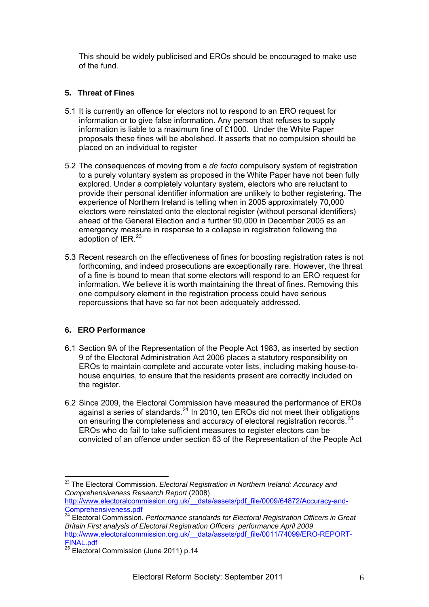This should be widely publicised and EROs should be encouraged to make use of the fund.

## **5. Threat of Fines**

- information or to give false information. Any person that refuses to supply information is liable to a maximum fine of £1000. Under the White Paper 5.1 It is currently an offence for electors not to respond to an ERO request for proposals these fines will be abolished. It asserts that no compulsion should be placed on an individual to register
- to a purely voluntary system as proposed in the White Paper have not been fully provide their personal identifier information are unlikely to bother registering. The electors were reinstated onto the electoral register (without personal identifiers) ahead of the General Election and a further 90,000 in December 2005 as an 5.2 The consequences of moving from a *de facto* compulsory system of registration explored. Under a completely voluntary system, electors who are reluctant to experience of Northern Ireland is telling when in 2005 approximately 70,000 emergency measure in response to a collapse in registration following the adoption of IER.<sup>23</sup>
- forthcoming, and indeed prosecutions are exceptionally rare. However, the threat of a fine is bound to mean that some electors will respond to an ERO request for information. We believe it is worth maintaining the threat of fines. Removing this one compulsory element in the registration process could have serious repercussions that have so far not been adequately addressed. 5.3 Recent research on the effectiveness of fines for boosting registration rates is not

#### **6. ERO Performance**

- 9 of the Electoral Administration Act 2006 places a statutory responsibility on EROs to maintain complete and accurate voter lists, including making house-to-6.1 Section 9A of the Representation of the People Act 1983, as inserted by section house enquiries, to ensure that the residents present are correctly included on the register.
- 6.2 Since 2009, the Electoral Commission have measured the performance of EROs EROs who do fail to take sufficient measures to register electors can be convicted of an offence under section 63 of the Representation of the People Act against a series of standards.<sup>[24](#page-5-0)</sup> In 2010, ten EROs did not meet their obligations on ensuring the completeness and accuracy of electoral registration records.<sup>[25](#page-5-1)</sup>

<sup>1</sup> <sup>23</sup> The Electoral Commission. *Electoral Registration in Northern Ireland: Accuracy and Comprehensiveness Research Report* (2008)

[http://www.electoralcommi](http://www.electoralcommission.org.uk/__data/assets/pdf_file/0009/64872/Accuracy-and-Comprehensiveness.pdf)ssion.org.uk/ data/assets/pdf file/0009/64872/Accuracy-and-Comprehensiveness.pdf

<span id="page-5-0"></span><sup>&</sup>lt;sup>24</sup> Electoral Commission. Performance standards for Electoral Registration Officers in Great *Britain First analysis of Electoral Registration Officers' performance April 2009* [http://www.e](http://www.electoralcommission.org.uk/__data/assets/pdf_file/0011/74099/ERO-REPORT-FINAL.pdf)lectoralcommission.org.uk/ data/assets/pdf\_file/0011/74099/ERO-REPORT-

<span id="page-5-1"></span>FINAL.pdf 25 Electoral Commission (June 2011) p.14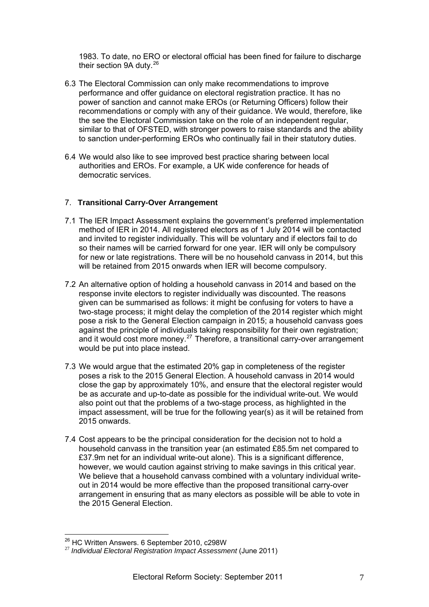1983. To date, no ERO or electoral official has been fined for failure to di scharge their section 9A duty. $26$ 

- 6.3 The Electoral Commission can only make recommendations to improve performance and offer guidance on electoral registration practice. It has no power of sanction and cannot make EROs (or Returning Officers) follow their recommendations or comply with any of their guidance. We would, therefore, like the see the Electoral Commission take on the role of an independent regular, similar to that of OFSTED, with stronger powers to raise standards and the ability to sanction under-performing EROs who continually fail in their statutory duties.
- .4 We would also like to see improved best practice sharing between local 6 authorities and EROs. For example, a UK wide conference for heads of democratic services.

#### 7. **Transitional Carry-Over Arrangement**

- and invited to register individually. This will be voluntary and if electors fail to do so their names will be carried forward for one year. IER will only be compulsory 7.1 The IER Impact Assessment explains the government's preferred implementation method of IER in 2014. All registered electors as of 1 July 2014 will be contacted for new or late registrations. There will be no household canvass in 2014, but this will be retained from 2015 onwards when IER will become compulsory.
- pose a risk to the General Election campaign in 2015; a household canvass goes against the principle of individuals taking responsibility for their own registration; and it would cost more money.<sup>27</sup> Therefore, a transitional carry-over arrangement 7.2 An alternative option of holding a household canvass in 2014 and based on the response invite electors to register individually was discounted. The reasons given can be summarised as follows: it might be confusing for voters to have a two-stage process; it might delay the completion of the 2014 register which might would be put into place instead.
- poses a risk to the 2015 General Election. A household canvass in 2014 would be as accurate and up-to-date as possible for the individual write-out. We would also point out that the problems of a two-stage process, as highlighted in the impact assessment, will be true for the following year(s) as it will be retained from 7.3 We would argue that the estimated 20% gap in completeness of the register close the gap by approximately 10%, and ensure that the electoral register would 2015 onwards.
- We believe that a household canvass combined with a voluntary individual writeout in 2014 would be more effective than the proposed transitional carry-over 7.4 Cost appears to be the principal consideration for the decision not to hold a household canvass in the transition year (an estimated £85.5m net compared to £37.9m net for an individual write-out alone). This is a significant difference, however, we would caution against striving to make savings in this critical year. arrangement in ensuring that as many electors as possible will be able to vote in the 2015 General Election.

<sup>&</sup>lt;u>.</u>

<sup>&</sup>lt;sup>26</sup> HC Written Answers. 6 September 2010, c298W<br><sup>27</sup> *Individual Electoral Registration Impact Assessment* (June 2011)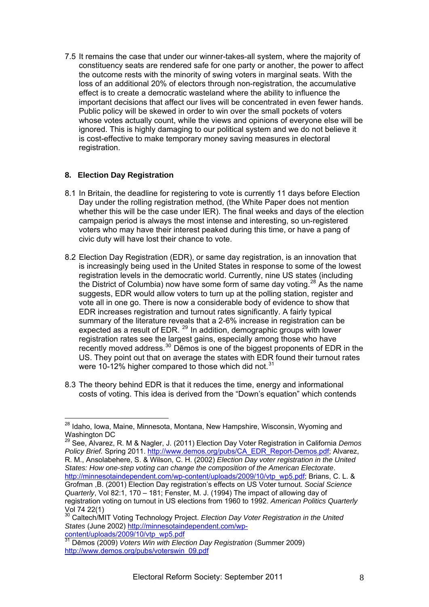7.5 It remains the case that under our winner-takes-all system, where the majority of constituency seats are rendered safe for one party or another, the power to a ffect the outcome rests with the minority of swing voters in marginal seats. With the loss of an additional 20% of electors through non-registration, the accumulative effect is to create a democratic wasteland where the ability to influence th e important decisions that affect our lives will be concentrated in even fewer hands. Public policy will be skewed in order to win over the small pockets of voters whose votes actually count, while the views and opinions of everyone else will be ignored. This is highly damaging to our political system and we do not believe it is cost-effective to make temporary money saving measures in electoral registration.

## **8. Election Day Registration**

- 8.1 In Britain, the deadline for registering to vote is currently 11 days before Election Day under the rolling registration method, (the White Paper does not mention whether this will be the case under IER). The final weeks and days of the election campaign period is always the most intense and interesting, so un-registered voters who may have their interest peaked during this time, or have a pang of civic duty will have lost their chance to vote.
- 8.2 Election Day Registration (EDR), or same day registration, is an innovation that is increasingly being used in the United States in response to some of the lowest registration levels in the democratic world. Currently, nine US states (including the District of Columbia) now have some form of same day voting.<sup>[28](#page-7-0)</sup> As the name suggests, EDR would allow voters to turn up at the polling station, register and summary of the literature reveals that a 2-6% increase in registration can be expected as a result of EDR.  $^{29}$  In addition, demographic groups with lower US. They point out that on average the states with EDR found their turnout rates vote all in one go. There is now a considerable body of evidence to show that EDR increases registration and turnout rates significantly. A fairly typical registration rates see the largest gains, especially among those who have region and the control of the biggest proponents of EDR in the recently moved address.<sup>[30](#page-8-0)</sup> Dēmos is one of the biggest proponents of EDR in the were 10-12% higher compared to those which did not.<sup>[31](#page-8-1)</sup>
- costs of voting. This idea is derived from the "Down's equation" which contends [8.3 The theory behind EDR is that it reduces the time, energy and informational](#page-8-1)

29 See, Alvarez, R. M & Nagler, J. (2011) Election Day Voter Registration in California *Demos Policy Brief.* Spring 2011. [http://www.demos.org/pubs/CA\\_EDR\\_Report-Demos.pdf;](http://www.demos.org/pubs/CA_EDR_Report-Demos.pdf) Alvarez, R. M., Ansolabehere, S. & Wilson, C. H. (2002) *Election Day voter registration in the U nited States: How one-step voting can change the composition of the American Electorate*. [http://minnesotaindependent.com/wp-content/uploads/2009/10/vtp\\_wp5.pdf](http://minnesotaindependent.com/wp-content/uploads/2009/10/vtp_wp5.pdf); Brians, C. L. & Grofman ,B. (2001) Election Day registration's effects on US Voter turnout. *Social S cience Quarterly*, Vol 82:1, 170 – 181; Fenster, M. J. (1994) The impact of allowing day of registration vo ting on turnout in US elections from 1960 to 1992. *American Politics Quarterly*  Vol 74 22(1)

<span id="page-7-0"></span><sup>1</sup> <sup>28</sup> Idaho, Iowa, Maine, Minnesota, Montana, New Hampshire, Wisconsin, Wyoming and Washington DC

<sup>&</sup>lt;sup>30</sup> Caltech/MIT Voting Technology Project. *Election Day Voter Registration in the United* States (June 2002) [http://minnesotainde](http://minnesotaindependent.com/wp-content/uploads/2009/10/vtp_wp5.pdf)pendent.com/wp-

[content/uploads/2009/10/vtp\\_wp5.pdf 31 D](http://www.demos.org/pubs/voterswin_09.pdf)ēmos (2009) *Voters Win with Election Day Registration* (Summer 2009) http://www.demos.org/pubs/voterswin\_09.pdf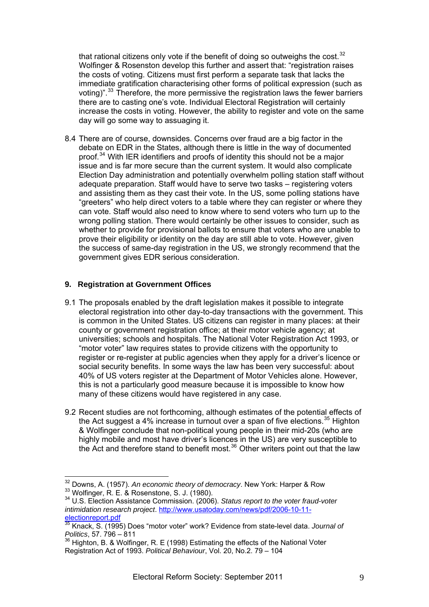that rational citizens only vote if the benefit of doing so outweighs the cost. $32$ Wolfinger & Rosenston develop this further and assert that: "registration raise s the costs of voting. Citizens must first perform a separate task that lacks the immediate gratification characterising other forms of political expression (such as voting)".<sup>33</sup> Therefore, the more permissive the registration laws the fewer barriers increase the costs in voting. However, the ability to register and vote on the same there are to casting one's vote. Individual Electoral Registration will certainly day will go some way to assuaging it.

8.4 There are of course, downsides. Concerns over fraud are a big factor in the "greeters" who help direct voters to a table where they can register or where they wrong polling station. There would certainly be other issues to consider, such as whether to provide for provisional ballots to ensure that voters who are unable to prove their eligibility or identity on the day are still able to vote. However, given the success of same-day registration in the US, we strongly recommend that the government gives EDR serious consideration. debate on EDR in the States, although there is little in the way of documented proof.[34](#page-8-2) With IER identifiers and proofs of identity this should not be a major issue and is far more secure than the current system. It would also complicate Election Day administration and potentially overwhelm polling station staff without adequate preparation. Staff would have to serve two tasks – registering voters and assisting them as they cast their vote. In the US, some polling stations have can vote. Staff would also need to know where to send voters who turn up to the

#### **9. Registration at Government Offices**

1

- electoral registration into other day-to-day transactions with the government. This register or re-register at public agencies when they apply for a driver's licence or social security benefits. In some ways the law has been very successful: about 9.1 The proposals enabled by the draft legislation makes it possible to integrate is common in the United States. US citizens can register in many places: at their county or government registration office; at their motor vehicle agency; at universities; schools and hospitals. The National Voter Registration Act 1993, or "motor voter" law requires states to provide citizens with the opportunity to 40% of US voters register at the Department of Motor Vehicles alone. However, this is not a particularly good measure because it is impossible to know how many of these citizens would have registered in any case.
- & Wolfinger conclude that non-political young people in their mid-20s (who are highly mobile and most have driver's licences in the US) are very susceptible to the Act and therefore stand to benefit most.<sup>36</sup> Other writers point out that the law 9.2 Recent studies are not forthcoming, although estimates of the potential effects of the Act suggest a 4% increase in turnout over a span of five elections.<sup>[35](#page-8-3)</sup> Highton

<span id="page-8-0"></span><sup>&</sup>lt;sup>32</sup> Downs, A. (1957). *An economic theory of democracy*. New York: Harper & Row<br><sup>33</sup> Wolfinger, R. E. & Rosenstone, S. J. (1980).<br><sup>34</sup> U.S. Election Assistance Commission. (2006). *Status report to the voter fraud-v* 

<span id="page-8-2"></span><span id="page-8-1"></span><sup>&</sup>lt;sup>34</sup> U.S. Election Assistance Commission. (2006). Status report to the voter fraud-voter intimidation research project. http://www.usatoday.com/news/pdf/2006-10-11electionreport.pdf

<span id="page-8-3"></span><sup>35</sup> Knack, S. (1995) Does "motor voter" work? Evidence from state-level data. *Journal of Politics*, 57. 796 – 811

 $36$  Highton, B. & Wolfinger, R. E (1998) Estimating the effects of the National Voter Registration Act of 1993. Political Behaviour, Vol. 20, No.2. 79 - 104